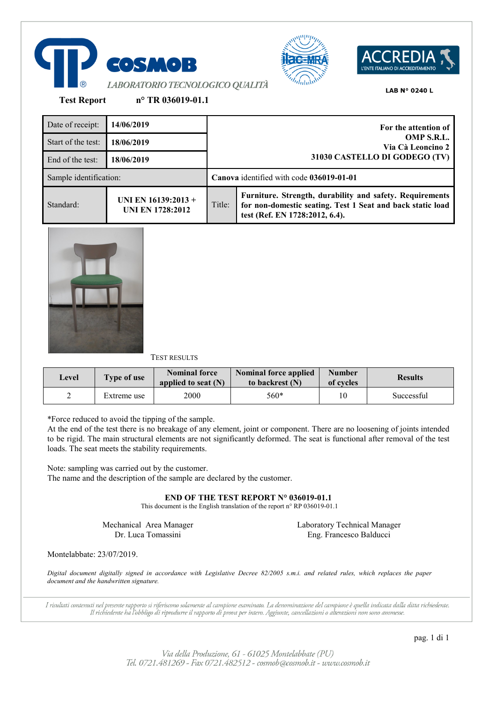





**Test Report n° TR 036019-01.1**

Date of receipt: **14/06/2019 For the attention of OMP S.R.L. Via Cà Leoncino 2 31030 CASTELLO DI GODEGO (TV)** Start of the test: **18/06/2019** End of the test: **18/06/2019** Sample identification: **Canova** identified with code **036019-01-01** Standard: **UNI EN 16139:2013 + UNI EN 1728:2012** Title: **Furniture. Strength, durability and safety. Requirements for non-domestic seating. Test 1 Seat and back static load test (Ref. EN 1728:2012, 6.4).**



TEST RESULTS

| Level | Type of use | <b>Nominal force</b><br>applied to seat $(N)$ | <b>Nominal force applied</b><br>to backrest (N) | <b>Number</b><br>of cycles | <b>Results</b> |
|-------|-------------|-----------------------------------------------|-------------------------------------------------|----------------------------|----------------|
| ∸     | Extreme use | 2000                                          | 560*                                            | 10                         | Successful     |

\*Force reduced to avoid the tipping of the sample.

At the end of the test there is no breakage of any element, joint or component. There are no loosening of joints intended to be rigid. The main structural elements are not significantly deformed. The seat is functional after removal of the test loads. The seat meets the stability requirements.

Note: sampling was carried out by the customer. The name and the description of the sample are declared by the customer.

**END OF THE TEST REPORT N° 036019-01.1**

This document is the English translation of the report n° RP 036019-01.1

Mechanical Area Manager Dr. Luca Tomassini

Laboratory Technical Manager Eng. Francesco Balducci

Montelabbate: 23/07/2019.

*Digital document digitally signed in accordance with Legislative Decree 82/2005 s.m.i. and related rules, which replaces the paper document and the handwritten signature.*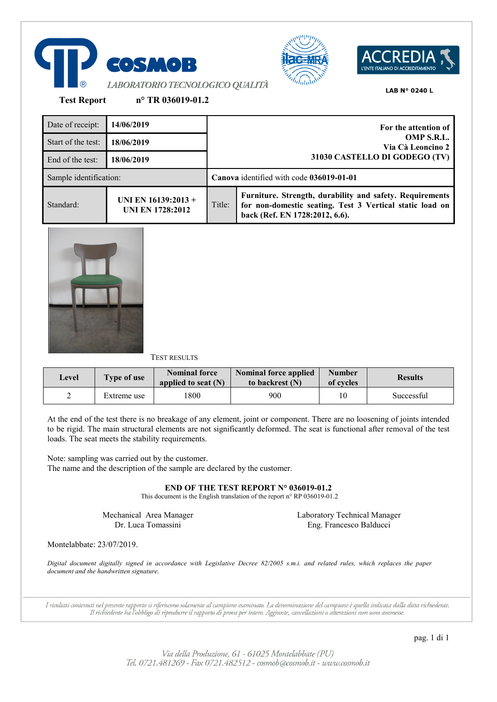





**Test Report n° TR 036019-01.2**

Date of receipt: **14/06/2019 For the attention of OMP S.R.L. Via Cà Leoncino 2 31030 CASTELLO DI GODEGO (TV)** Start of the test: **18/06/2019** End of the test: **18/06/2019** Sample identification: **Canova** identified with code **036019-01-01** Standard: **UNI EN 16139:2013 + UNI EN 1728:2012** Title: **Furniture. Strength, durability and safety. Requirements for non-domestic seating. Test 3 Vertical static load on back (Ref. EN 1728:2012, 6.6).**



# TEST RESULTS

| Level | <b>Type of use</b> | <b>Nominal force</b><br>applied to seat $(N)$ | <b>Nominal force applied</b><br>to backrest (N) | <b>Number</b><br>of cycles | <b>Results</b> |
|-------|--------------------|-----------------------------------------------|-------------------------------------------------|----------------------------|----------------|
| ∸     | Extreme use        | 1800                                          | 900                                             | 10                         | Successful     |

At the end of the test there is no breakage of any element, joint or component. There are no loosening of joints intended to be rigid. The main structural elements are not significantly deformed. The seat is functional after removal of the test loads. The seat meets the stability requirements.

Note: sampling was carried out by the customer. The name and the description of the sample are declared by the customer.

**END OF THE TEST REPORT N° 036019-01.2**

This document is the English translation of the report n° RP 036019-01.2

Mechanical Area Manager Dr. Luca Tomassini

Laboratory Technical Manager Eng. Francesco Balducci

Montelabbate: 23/07/2019.

*Digital document digitally signed in accordance with Legislative Decree 82/2005 s.m.i. and related rules, which replaces the paper document and the handwritten signature.*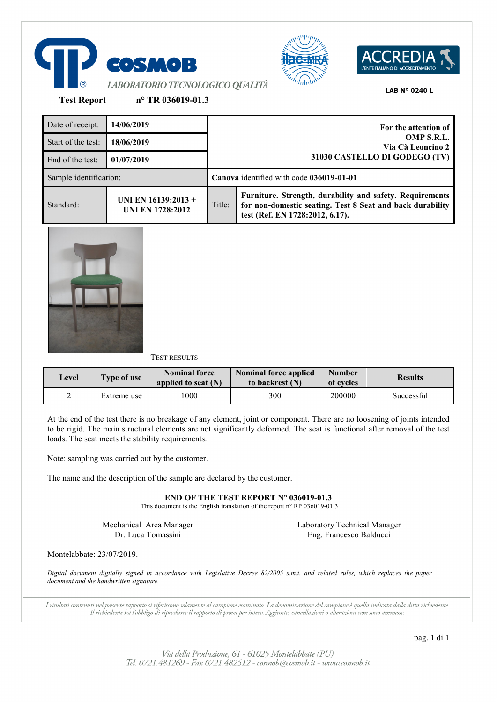





**Test Report n° TR 036019-01.3**

Date of receipt: **14/06/2019 For the attention of OMP S.R.L. Via Cà Leoncino 2 31030 CASTELLO DI GODEGO (TV)** Start of the test: **18/06/2019** End of the test: **01/07/2019** Sample identification: **Canova** identified with code **036019-01-01** Standard: **UNI EN 16139:2013 + UNI EN 1728:2012** Title: **Furniture. Strength, durability and safety. Requirements for non-domestic seating. Test 8 Seat and back durability test (Ref. EN 1728:2012, 6.17).**



# TEST RESULTS

| Level | Type of use | <b>Nominal force</b><br>applied to seat $(N)$ | <b>Nominal force applied</b><br>to backrest (N) | <b>Number</b><br>of cycles | <b>Results</b> |
|-------|-------------|-----------------------------------------------|-------------------------------------------------|----------------------------|----------------|
| ∸     | Extreme use | 1000                                          | 300                                             | 200000                     | Successful     |

At the end of the test there is no breakage of any element, joint or component. There are no loosening of joints intended to be rigid. The main structural elements are not significantly deformed. The seat is functional after removal of the test loads. The seat meets the stability requirements.

Note: sampling was carried out by the customer.

The name and the description of the sample are declared by the customer.

**END OF THE TEST REPORT N° 036019-01.3**

This document is the English translation of the report n° RP 036019-01.3

Mechanical Area Manager Dr. Luca Tomassini

Laboratory Technical Manager Eng. Francesco Balducci

Montelabbate: 23/07/2019.

*Digital document digitally signed in accordance with Legislative Decree 82/2005 s.m.i. and related rules, which replaces the paper document and the handwritten signature.*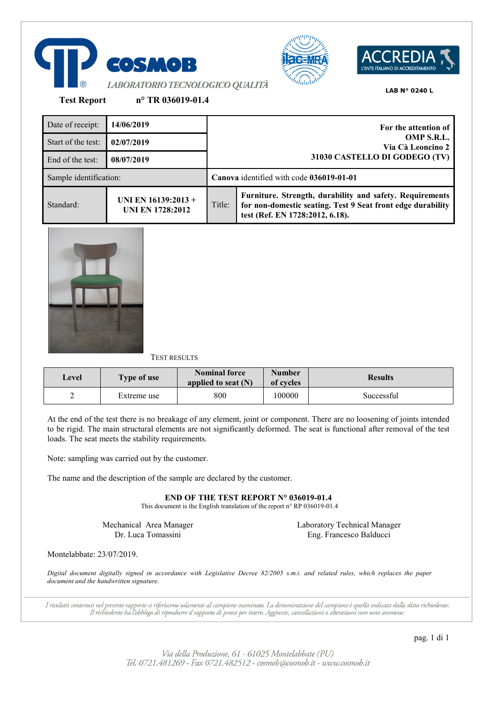





**Test Report n° TR 036019-01.4**

Date of receipt: **14/06/2019 For the attention of OMP S.R.L. Via Cà Leoncino 2 31030 CASTELLO DI GODEGO (TV)** Start of the test: **02/07/2019** End of the test: **08/07/2019** Sample identification: **Canova** identified with code **036019-01-01** Standard: **UNI EN 16139:2013 + UNI EN 1728:2012** Title: **Furniture. Strength, durability and safety. Requirements for non-domestic seating. Test 9 Seat front edge durability test (Ref. EN 1728:2012, 6.18).**



# TEST RESULTS

| Level | <b>Type of use</b> | Nominal force<br>applied to seat $(N)$ | <b>Number</b><br>of cycles | <b>Results</b> |
|-------|--------------------|----------------------------------------|----------------------------|----------------|
| ∸     | Extreme use        | 800                                    | 100000                     | Successful     |

At the end of the test there is no breakage of any element, joint or component. There are no loosening of joints intended to be rigid. The main structural elements are not significantly deformed. The seat is functional after removal of the test loads. The seat meets the stability requirements.

Note: sampling was carried out by the customer.

The name and the description of the sample are declared by the customer.

**END OF THE TEST REPORT N° 036019-01.4**

This document is the English translation of the report n° RP 036019-01.4

Mechanical Area Manager Dr. Luca Tomassini

Laboratory Technical Manager Eng. Francesco Balducci

Montelabbate: 23/07/2019.

*Digital document digitally signed in accordance with Legislative Decree 82/2005 s.m.i. and related rules, which replaces the paper document and the handwritten signature.*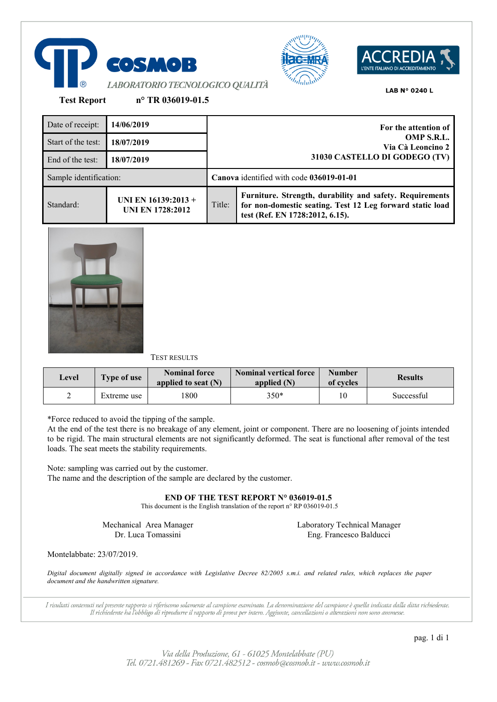





**Test Report n° TR 036019-01.5**

| Date of receipt:       | 14/06/2019                                       |                                                                  | For the attention of                                                                                                                                     |  |
|------------------------|--------------------------------------------------|------------------------------------------------------------------|----------------------------------------------------------------------------------------------------------------------------------------------------------|--|
| Start of the test:     | 18/07/2019                                       | OMP S.R.L.<br>Via Cà Leoncino 2<br>31030 CASTELLO DI GODEGO (TV) |                                                                                                                                                          |  |
| End of the test:       | 18/07/2019                                       |                                                                  |                                                                                                                                                          |  |
| Sample identification: |                                                  |                                                                  | Canova identified with code 036019-01-01                                                                                                                 |  |
| Standard:              | UNI EN $16139:2013 +$<br><b>UNI EN 1728:2012</b> | Title:                                                           | Furniture. Strength, durability and safety. Requirements<br>for non-domestic seating. Test 12 Leg forward static load<br>test (Ref. EN 1728:2012, 6.15). |  |



TEST RESULTS

| Level | <b>Type of use</b> | <b>Nominal force</b><br>applied to seat $(N)$ | Nominal vertical force<br>applied $(N)$ | <b>Number</b><br>of cycles | <b>Results</b> |
|-------|--------------------|-----------------------------------------------|-----------------------------------------|----------------------------|----------------|
| ∸     | Extreme use        | 1800                                          | 350*                                    | 10                         | Successful     |

\*Force reduced to avoid the tipping of the sample.

At the end of the test there is no breakage of any element, joint or component. There are no loosening of joints intended to be rigid. The main structural elements are not significantly deformed. The seat is functional after removal of the test loads. The seat meets the stability requirements.

Note: sampling was carried out by the customer. The name and the description of the sample are declared by the customer.

**END OF THE TEST REPORT N° 036019-01.5**

This document is the English translation of the report n° RP 036019-01.5

Mechanical Area Manager Dr. Luca Tomassini

Laboratory Technical Manager Eng. Francesco Balducci

Montelabbate: 23/07/2019.

*Digital document digitally signed in accordance with Legislative Decree 82/2005 s.m.i. and related rules, which replaces the paper document and the handwritten signature.*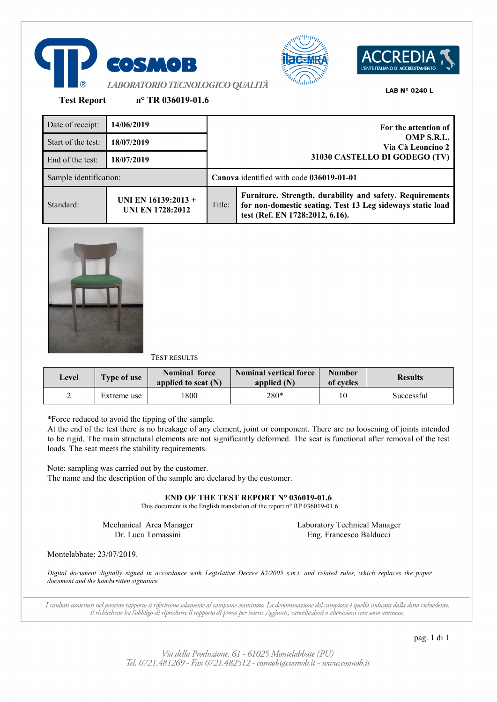





**Test Report n° TR 036019-01.6**

| Date of receipt:       | 14/06/2019                                     |                                                                  | For the attention of                                                                                                                                      |  |
|------------------------|------------------------------------------------|------------------------------------------------------------------|-----------------------------------------------------------------------------------------------------------------------------------------------------------|--|
| Start of the test:     | 18/07/2019                                     | OMP S.R.L.<br>Via Cà Leoncino 2<br>31030 CASTELLO DI GODEGO (TV) |                                                                                                                                                           |  |
| End of the test:       | 18/07/2019                                     |                                                                  |                                                                                                                                                           |  |
| Sample identification: |                                                |                                                                  | Canova identified with code 036019-01-01                                                                                                                  |  |
| Standard:              | UNI EN 16139:2013 +<br><b>UNI EN 1728:2012</b> | Title:                                                           | Furniture. Strength, durability and safety. Requirements<br>for non-domestic seating. Test 13 Leg sideways static load<br>test (Ref. EN 1728:2012, 6.16). |  |



TEST RESULTS

| Level | <b>Type of use</b> | <b>Nominal force</b><br>applied to seat $(N)$ | <b>Nominal vertical force</b><br>applied $(N)$ | <b>Number</b><br>of cycles | <b>Results</b> |
|-------|--------------------|-----------------------------------------------|------------------------------------------------|----------------------------|----------------|
| ∠     | Extreme use        | 1800                                          | 280*                                           | 10                         | Successful     |

\*Force reduced to avoid the tipping of the sample.

At the end of the test there is no breakage of any element, joint or component. There are no loosening of joints intended to be rigid. The main structural elements are not significantly deformed. The seat is functional after removal of the test loads. The seat meets the stability requirements.

Note: sampling was carried out by the customer. The name and the description of the sample are declared by the customer.

**END OF THE TEST REPORT N° 036019-01.6**

This document is the English translation of the report n° RP 036019-01.6

Mechanical Area Manager Dr. Luca Tomassini

Laboratory Technical Manager Eng. Francesco Balducci

Montelabbate: 23/07/2019.

*Digital document digitally signed in accordance with Legislative Decree 82/2005 s.m.i. and related rules, which replaces the paper document and the handwritten signature.*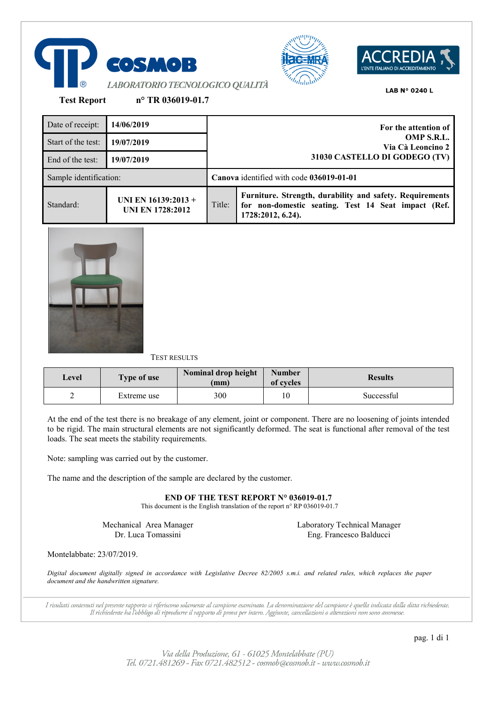





**Test Report n° TR 036019-01.7**

| Date of receipt:       | 14/06/2019                                     |                                                                  | For the attention of                                                                                                                 |  |
|------------------------|------------------------------------------------|------------------------------------------------------------------|--------------------------------------------------------------------------------------------------------------------------------------|--|
| Start of the test:     | 19/07/2019                                     | OMP S.R.L.<br>Via Cà Leoncino 2<br>31030 CASTELLO DI GODEGO (TV) |                                                                                                                                      |  |
| End of the test:       | 19/07/2019                                     |                                                                  |                                                                                                                                      |  |
| Sample identification: |                                                | Canova identified with code 036019-01-01                         |                                                                                                                                      |  |
| Standard:              | UNI EN 16139:2013 +<br><b>UNI EN 1728:2012</b> | Title:                                                           | Furniture. Strength, durability and safety. Requirements<br>for non-domestic seating. Test 14 Seat impact (Ref.<br>1728:2012, 6.24). |  |



# TEST RESULTS

| Level | Type of use | Nominal drop height<br>(mm) | <b>Number</b><br>of cycles | <b>Results</b> |
|-------|-------------|-----------------------------|----------------------------|----------------|
| -     | Extreme use | 300                         | 10                         | Successful     |

At the end of the test there is no breakage of any element, joint or component. There are no loosening of joints intended to be rigid. The main structural elements are not significantly deformed. The seat is functional after removal of the test loads. The seat meets the stability requirements.

Note: sampling was carried out by the customer.

The name and the description of the sample are declared by the customer.

**END OF THE TEST REPORT N° 036019-01.7**

This document is the English translation of the report n° RP 036019-01.7

Mechanical Area Manager Dr. Luca Tomassini

Laboratory Technical Manager Eng. Francesco Balducci

Montelabbate: 23/07/2019.

*Digital document digitally signed in accordance with Legislative Decree 82/2005 s.m.i. and related rules, which replaces the paper document and the handwritten signature.*